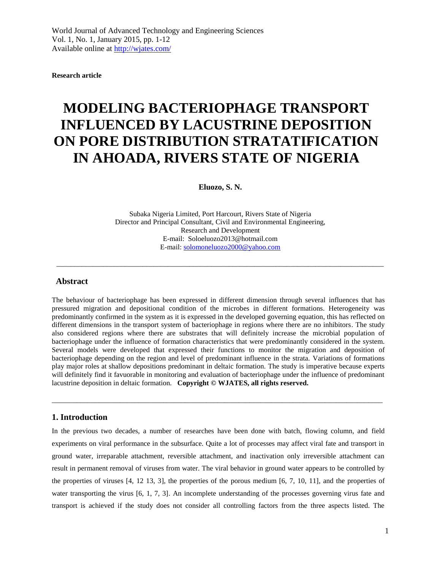**Research article**

# **MODELING BACTERIOPHAGE TRANSPORT INFLUENCED BY LACUSTRINE DEPOSITION ON PORE DISTRIBUTION STRATATIFICATION IN AHOADA, RIVERS STATE OF NIGERIA**

**Eluozo, S. N.**

Subaka Nigeria Limited, Port Harcourt, Rivers State of Nigeria Director and Principal Consultant, Civil and Environmental Engineering, Research and Development E-mail: Soloeluozo2013@hotmail.com E-mail: [solomoneluozo2000@yahoo.com](mailto:solomoneluozo2000@yahoo.com)

\_\_\_\_\_\_\_\_\_\_\_\_\_\_\_\_\_\_\_\_\_\_\_\_\_\_\_\_\_\_\_\_\_\_\_\_\_\_\_\_\_\_\_\_\_\_\_\_\_\_\_\_\_\_\_\_\_\_\_\_\_\_\_\_\_\_\_\_\_\_\_\_\_\_\_\_\_\_\_\_\_\_\_\_\_\_\_\_\_\_\_

## **Abstract**

The behaviour of bacteriophage has been expressed in different dimension through several influences that has pressured migration and depositional condition of the microbes in different formations. Heterogeneity was predominantly confirmed in the system as it is expressed in the developed governing equation, this has reflected on different dimensions in the transport system of bacteriophage in regions where there are no inhibitors. The study also considered regions where there are substrates that will definitely increase the microbial population of bacteriophage under the influence of formation characteristics that were predominantly considered in the system. Several models were developed that expressed their functions to monitor the migration and deposition of bacteriophage depending on the region and level of predominant influence in the strata. Variations of formations play major roles at shallow depositions predominant in deltaic formation. The study is imperative because experts will definitely find it favuorable in monitoring and evaluation of bacteriophage under the influence of predominant lacustrine deposition in deltaic formation. **Copyright © WJATES, all rights reserved.**

 $\overline{a}$  , and the state of the state of the state of the state of the state of the state of the state of the state of the state of the state of the state of the state of the state of the state of the state of the state o

#### **1. Introduction**

In the previous two decades, a number of researches have been done with batch, flowing column, and field experiments on viral performance in the subsurface. Quite a lot of processes may affect viral fate and transport in ground water, irreparable attachment, reversible attachment, and inactivation only irreversible attachment can result in permanent removal of viruses from water. The viral behavior in ground water appears to be controlled by the properties of viruses [4, 12 13, 3], the properties of the porous medium [6, 7, 10, 11], and the properties of water transporting the virus [6, 1, 7, 3]. An incomplete understanding of the processes governing virus fate and transport is achieved if the study does not consider all controlling factors from the three aspects listed. The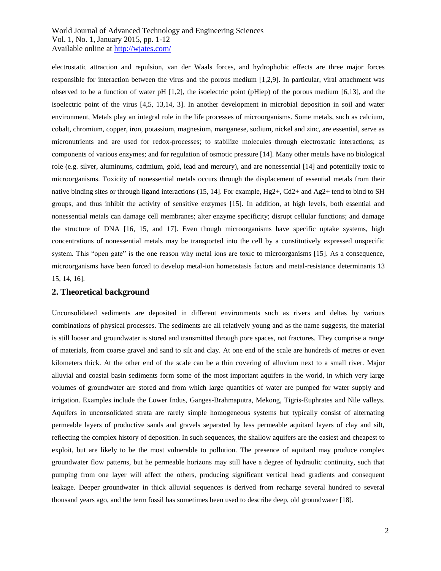electrostatic attraction and repulsion, van der Waals forces, and hydrophobic effects are three major forces responsible for interaction between the virus and the porous medium [1,2,9]. In particular, viral attachment was observed to be a function of water pH [1,2], the isoelectric point (pHiep) of the porous medium [6,13], and the isoelectric point of the virus [4,5, 13,14, 3]. In another development in microbial deposition in soil and water environment, Metals play an integral role in the life processes of microorganisms. Some metals, such as calcium, cobalt, chromium, copper, iron, potassium, magnesium, manganese, sodium, nickel and zinc, are essential, serve as micronutrients and are used for redox-processes; to stabilize molecules through electrostatic interactions; as components of various enzymes; and for regulation of osmotic pressure [14]. Many other metals have no biological role (e.g. silver, aluminums, cadmium, gold, lead and mercury), and are nonessential [14] and potentially toxic to microorganisms. Toxicity of nonessential metals occurs through the displacement of essential metals from their native binding sites or through ligand interactions (15, 14]. For example, Hg2+, Cd2+ and Ag2+ tend to bind to SH groups, and thus inhibit the activity of sensitive enzymes [15]. In addition, at high levels, both essential and nonessential metals can damage cell membranes; alter enzyme specificity; disrupt cellular functions; and damage the structure of DNA [16, 15, and 17]. Even though microorganisms have specific uptake systems, high concentrations of nonessential metals may be transported into the cell by a constitutively expressed unspecific system. This "open gate" is the one reason why metal ions are toxic to microorganisms [15]. As a consequence, microorganisms have been forced to develop metal-ion homeostasis factors and metal-resistance determinants 13 15, 14, 16].

#### **2. Theoretical background**

Unconsolidated sediments are deposited in different environments such as rivers and deltas by various combinations of physical processes. The sediments are all relatively young and as the name suggests, the material is still looser and groundwater is stored and transmitted through pore spaces, not fractures. They comprise a range of materials, from coarse gravel and sand to silt and clay. At one end of the scale are hundreds of metres or even kilometers thick. At the other end of the scale can be a thin covering of alluvium next to a small river. Major alluvial and coastal basin sediments form some of the most important aquifers in the world, in which very large volumes of groundwater are stored and from which large quantities of water are pumped for water supply and irrigation. Examples include the Lower Indus, Ganges-Brahmaputra, Mekong, Tigris-Euphrates and Nile valleys. Aquifers in unconsolidated strata are rarely simple homogeneous systems but typically consist of alternating permeable layers of productive sands and gravels separated by less permeable aquitard layers of clay and silt, reflecting the complex history of deposition. In such sequences, the shallow aquifers are the easiest and cheapest to exploit, but are likely to be the most vulnerable to pollution. The presence of aquitard may produce complex groundwater flow patterns, but he permeable horizons may still have a degree of hydraulic continuity, such that pumping from one layer will affect the others, producing significant vertical head gradients and consequent leakage. Deeper groundwater in thick alluvial sequences is derived from recharge several hundred to several thousand years ago, and the term fossil has sometimes been used to describe deep, old groundwater [18].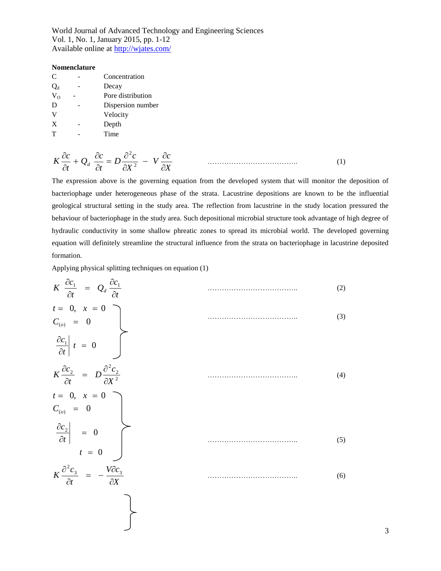#### **Nomenclature**

| C            | Concentration     |
|--------------|-------------------|
| $Q_{d}$      | Decay             |
| $V_{\Omega}$ | Pore distribution |
| D            | Dispersion number |
| V            | Velocity          |
| X            | Depth             |
| т            | Time              |
|              |                   |

$$
K\frac{\partial c}{\partial t} + Q_d \frac{\partial c}{\partial t} = D\frac{\partial^2 c}{\partial X^2} - V\frac{\partial c}{\partial X} \tag{1}
$$

The expression above is the governing equation from the developed system that will monitor the deposition of bacteriophage under heterogeneous phase of the strata. Lacustrine depositions are known to be the influential geological structural setting in the study area. The reflection from lacustrine in the study location pressured the behaviour of bacteriophage in the study area. Such depositional microbial structure took advantage of high degree of hydraulic conductivity in some shallow phreatic zones to spread its microbial world. The developed governing equation will definitely streamline the structural influence from the strata on bacteriophage in lacustrine deposited formation.

Applying physical splitting techniques on equation (1)

$$
K \frac{\partial c_1}{\partial t} = Q_d \frac{\partial c_1}{\partial t}
$$
\n
$$
t = 0, x = 0
$$
\n
$$
C_{(o)} = 0
$$
\n
$$
\frac{\partial c_1}{\partial t} t = 0
$$
\n
$$
K \frac{\partial c_2}{\partial t} = D \frac{\partial^2 c_2}{\partial x^2}
$$
\n
$$
t = 0, x = 0
$$
\n
$$
C_{(o)} = 0
$$
\n
$$
\frac{\partial c_2}{\partial t} = 0
$$
\n
$$
t = 0
$$
\n
$$
K \frac{\partial^2 c_3}{\partial t} = -\frac{V \partial c_3}{\partial X}
$$
\n(6)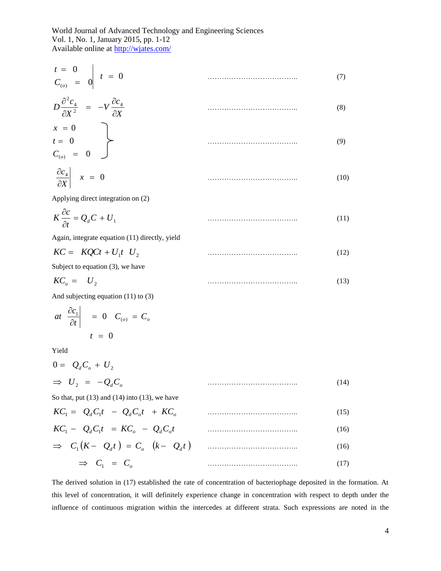$$
\begin{array}{rcl}\nt &=& 0 \\
C_{(o)} &=& 0\n\end{array}
$$
\n
$$
t = 0
$$
\n
$$
\frac{a^2 a}{2}
$$
\n(7)

$$
D\frac{\partial^2 c_4}{\partial X^2} = -V \frac{\partial c_4}{\partial X}
$$
\n
$$
x = 0
$$
\n
$$
t = 0
$$
\n
$$
C_{(o)} = 0
$$
\n
$$
a = 0
$$
\n
$$
a = 0
$$
\n
$$
a = 0
$$
\n
$$
a = 0
$$
\n
$$
a = 0
$$
\n
$$
a = 0
$$
\n
$$
a = 0
$$
\n
$$
a = 0
$$
\n
$$
a = 0
$$
\n
$$
a = 0
$$
\n
$$
a = 0
$$
\n
$$
a = 0
$$
\n
$$
a = 0
$$
\n
$$
a = 0
$$
\n
$$
a = 0
$$
\n
$$
a = 0
$$
\n
$$
a = 0
$$
\n
$$
a = 0
$$
\n
$$
a = 0
$$
\n
$$
a = 0
$$
\n
$$
a = 0
$$
\n
$$
a = 0
$$
\n
$$
a = 0
$$
\n
$$
a = 0
$$
\n
$$
a = 0
$$
\n
$$
a = 0
$$
\n
$$
a = 0
$$
\n
$$
a = 0
$$
\n
$$
a = 0
$$
\n
$$
a = 0
$$
\n
$$
a = 0
$$
\n
$$
a = 0
$$
\n
$$
a = 0
$$
\n
$$
a = 0
$$
\n
$$
a = 0
$$
\n
$$
a = 0
$$
\n
$$
a = 0
$$
\n
$$
a = 0
$$
\n
$$
a = 0
$$
\n
$$
a = 0
$$
\n
$$
a = 0
$$
\n
$$
a = 0
$$
\n
$$
a = 0
$$
\n
$$
a = 0
$$
\n
$$
a = 0
$$
\n
$$
a = 0
$$
\n
$$
a = 0
$$
\n
$$
a = 0
$$
\n

$$
\left. \frac{\partial c_4}{\partial X} \right| \quad x = 0 \tag{10}
$$

Applying direct integration on (2)

$$
K\frac{\partial c}{\partial t} = Q_d C + U_1 \tag{11}
$$

Again, integrate equation (11) directly, yield

$$
KC = KQCt + U_1t \quad U_2 \tag{12}
$$

Subject to equation (3), we have

$$
KC_{o} = U_{2} \tag{13}
$$

And subjecting equation (11) to (3)

$$
at \frac{\partial c_1}{\partial t} \Big| = 0 \quad C_{(o)} = C_o
$$

$$
t = 0
$$

Yield

$$
0 = Q_d C_o + U_2
$$
  
\n
$$
\Rightarrow U_2 = -Q_d C_o
$$
\n(14)

So that, put  $(13)$  and  $(14)$  into  $(13)$ , we have

$$
KC1 = QdC1t - QdCot + KCo
$$
\n
$$
KC1 - QdC1t = KCo - QdCot
$$
\n
$$
\Rightarrow C1(K - Qdt) = Co (k - Qdt)
$$
\n
$$
\Rightarrow C1 = Co
$$
\n(16)\n(16)

The derived solution in (17) established the rate of concentration of bacteriophage deposited in the formation. At this level of concentration, it will definitely experience change in concentration with respect to depth under the influence of continuous migration within the intercedes at different strata. Such expressions are noted in the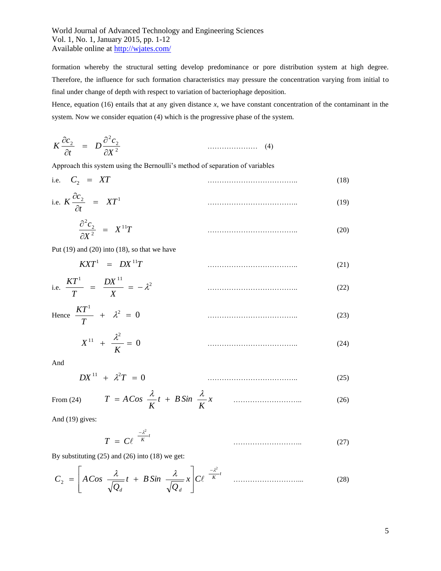formation whereby the structural setting develop predominance or pore distribution system at high degree. Therefore, the influence for such formation characteristics may pressure the concentration varying from initial to final under change of depth with respect to variation of bacteriophage deposition.

Hence, equation (16) entails that at any given distance *x*, we have constant concentration of the contaminant in the system. Now we consider equation (4) which is the progressive phase of the system.

$$
K \frac{\partial c_2}{\partial t} = D \frac{\partial^2 c_2}{\partial X^2} \tag{4}
$$

Approach this system using the Bernoulli's method of separation of variables

i.e. 
$$
C_2 = XT
$$
 (18)

i.e. 
$$
K \frac{\partial c_2}{\partial t} = XT^1
$$
 (19)

$$
\frac{\partial^2 c_2}{\partial X^2} = X^{11}T \tag{20}
$$

Put (19) and (20) into (18), so that we have

$$
KXT^1 = DX^{11}T \tag{21}
$$

i.e. 
$$
\frac{KT^1}{T} = \frac{DX^{11}}{X} = -\lambda^2
$$
 (22)

Hence 
$$
\frac{KT^1}{T} + \lambda^2 = 0
$$
 (23)

$$
X^{11} + \frac{\lambda^2}{K} = 0 \tag{24}
$$

And

$$
DX^{11} + \lambda^2 T = 0 \tag{25}
$$

From 
$$
(24)
$$

$$
(24) \tT = ACos \frac{\lambda}{K}t + B\sin \frac{\lambda}{K}x \t\ldots \t(26)
$$

And (19) gives:

$$
T = C\ell^{-\frac{2\ell}{K}t} \tag{27}
$$

By substituting  $(25)$  and  $(26)$  into  $(18)$  we get:

$$
C_2 = \left[ A \cos \frac{\lambda}{\sqrt{Q_d}} t + B \sin \frac{\lambda}{\sqrt{Q_d}} x \right] C \ell^{-\frac{\lambda^2}{K} t} \quad \dots \quad (28)
$$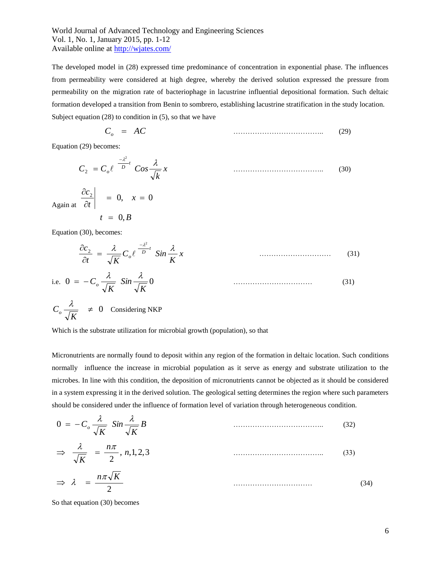The developed model in (28) expressed time predominance of concentration in exponential phase. The influences from permeability were considered at high degree, whereby the derived solution expressed the pressure from permeability on the migration rate of bacteriophage in lacustrine influential depositional formation. Such deltaic formation developed a transition from Benin to sombrero, establishing lacustrine stratification in the study location. Subject equation (28) to condition in (5), so that we have

$$
C_o = AC \tag{29}
$$

Equation (29) becomes:

$$
C_2 = C_o e^{-\frac{-\lambda^2}{D}t} \cos \frac{\lambda}{\sqrt{k}} x
$$
\n(30)

Again at  $t = 0, B$ *x t*  $\left|\frac{c_2}{c_1}\right| = 0, \quad x = 0$  $\partial$  $\partial$ 

Equation (30), becomes:

$$
\frac{\partial c_2}{\partial t} = \frac{\lambda}{\sqrt{K}} C_o \ell^{-\frac{\lambda^2}{D}t} \sin \frac{\lambda}{K} x \tag{31}
$$

i.e. 
$$
0 = -C_o \frac{\lambda}{\sqrt{K}} \sin \frac{\lambda}{\sqrt{K}} 0
$$
 (31)

$$
C_o \frac{\lambda}{\sqrt{K}} \quad \neq \quad 0 \quad \text{Considering NKP}
$$

Which is the substrate utilization for microbial growth (population), so that

Micronutrients are normally found to deposit within any region of the formation in deltaic location. Such conditions normally influence the increase in microbial population as it serve as energy and substrate utilization to the microbes. In line with this condition, the deposition of micronutrients cannot be objected as it should be considered in a system expressing it in the derived solution. The geological setting determines the region where such parameters should be considered under the influence of formation level of variation through heterogeneous condition.

$$
0 = -C_o \frac{\lambda}{\sqrt{K}} \sin \frac{\lambda}{\sqrt{K}} B
$$
\n
$$
\Rightarrow \frac{\lambda}{\sqrt{K}} = \frac{n\pi}{2}, n, 1, 2, 3
$$
\n
$$
\Rightarrow \lambda = \frac{n\pi\sqrt{K}}{2}
$$
\n(33)

So that equation (30) becomes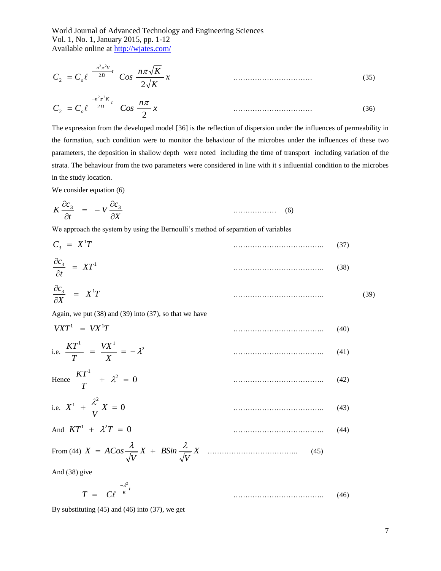$$
C_2 = C_o \ell^{-n^2 \pi^2 V \over 2D} \cos \frac{n \pi \sqrt{K}}{2\sqrt{K}} x
$$
\n
$$
(35)
$$

$$
C_2 = C_o \ell^{\frac{-n^2 \pi^2 K}{2D}} \quad \text{Cos } \frac{n\pi}{2} x \tag{36}
$$

The expression from the developed model [36] is the reflection of dispersion under the influences of permeability in the formation, such condition were to monitor the behaviour of the microbes under the influences of these two parameters, the deposition in shallow depth were noted including the time of transport including variation of the strata. The behaviour from the two parameters were considered in line with it s influential condition to the microbes in the study location.

We consider equation  $(6)$ 

$$
K \frac{\partial c_3}{\partial t} = -V \frac{\partial c_3}{\partial X}
$$
 (6)

We approach the system by using the Bernoulli's method of separation of variables

$$
C_3 = X^1 T
$$
\n
$$
\frac{\partial c_3}{\partial t} = XT^1
$$
\n(37)

$$
\frac{\partial c_3}{\partial X} = X^1 T \tag{39}
$$

Again, we put (38) and (39) into (37), so that we have

$$
VXT^1 = VX^1T \tag{40}
$$

i.e. 
$$
\frac{KT^1}{T} = \frac{VX^1}{X} = -\lambda^2
$$
 (41)

Hence 
$$
\frac{KT^1}{T} + \lambda^2 = 0
$$
 (42)

i.e. 
$$
X^1 + \frac{\lambda^2}{V} X = 0
$$
 (43)

And 
$$
KT^1 + \lambda^2 T = 0
$$
 (44)

From (44) 
$$
X = A\cos\frac{\lambda}{\sqrt{V}}X + B\sin\frac{\lambda}{\sqrt{V}}X
$$
 (45)

And (38) give

$$
T = C\ell^{-\frac{2^2}{K}t} \tag{46}
$$

By substituting (45) and (46) into (37), we get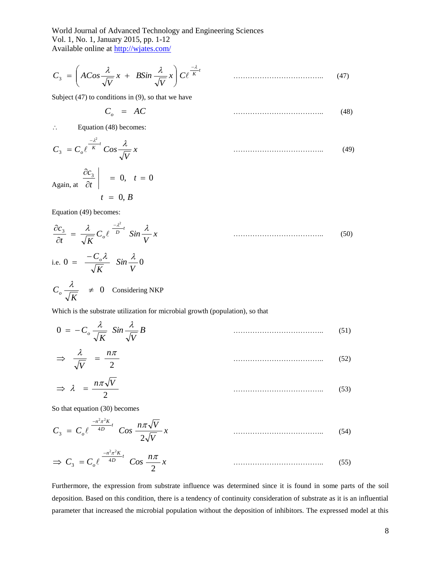$$
C_3 = \left( ACos \frac{\lambda}{\sqrt{V}} x + BSin \frac{\lambda}{\sqrt{V}} x \right) C \ell^{\frac{-\lambda}{K}} \qquad \qquad \dots \tag{47}
$$

Subject  $(47)$  to conditions in  $(9)$ , so that we have

$$
C_o = AC \tag{48}
$$

 $\therefore$  Equation (48) becomes:

$$
C_3 = C_o e^{\frac{-\lambda^2}{K}t} \cos \frac{\lambda}{\sqrt{V}} x \tag{49}
$$

Again, at  $\partial$ 

 $t = 0, B$ 

 $\left| \frac{c_3}{c} \right| = 0, t = 0$ 

*t*

Equation (49) becomes:

*t*

 $\partial$ 

$$
\frac{\partial c_3}{\partial t} = \frac{\lambda}{\sqrt{K}} C_o e^{-\frac{\lambda^2}{D}t} \sin \frac{\lambda}{V} x
$$
\ni.e. 
$$
0 = \frac{-C_o \lambda}{\sqrt{K}} \sin \frac{\lambda}{V} 0
$$
\n
$$
C_o \frac{\lambda}{\sqrt{K}} \neq 0 \quad \text{Considering NKP}
$$
\n(50)

Which is the substrate utilization for microbial growth (population), so that

$$
0 = -C_o \frac{\lambda}{\sqrt{K}} \sin \frac{\lambda}{\sqrt{V}} B
$$
\n(51)

$$
\Rightarrow \frac{\lambda}{\sqrt{V}} = \frac{n\pi}{2} \tag{52}
$$

$$
\Rightarrow \lambda = \frac{n\pi\sqrt{V}}{2} \tag{53}
$$

So that equation (30) becomes

$$
C_3 = C_o \ell^{-n^2 \pi^2 K \over 4D} \cos \frac{n \pi \sqrt{V}}{2\sqrt{V}} x \tag{54}
$$

$$
\Rightarrow C_3 = C_0 \ell \frac{-n^2 \pi^2 K}{4D} \cos \frac{n \pi}{2} x \tag{55}
$$

Furthermore, the expression from substrate influence was determined since it is found in some parts of the soil deposition. Based on this condition, there is a tendency of continuity consideration of substrate as it is an influential parameter that increased the microbial population without the deposition of inhibitors. The expressed model at this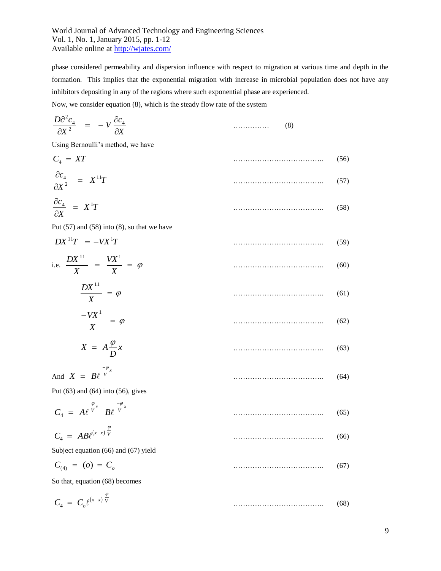phase considered permeability and dispersion influence with respect to migration at various time and depth in the formation. This implies that the exponential migration with increase in microbial population does not have any inhibitors depositing in any of the regions where such exponential phase are experienced. Now, we consider equation (8), which is the steady flow rate of the system

$$
\frac{D\partial^2 c_4}{\partial X^2} = -V \frac{\partial c_4}{\partial X}
$$
 (8)

Using Bernoulli's method, we have

$$
C_4 = XT
$$
\n
$$
\frac{\partial c_4}{\partial X^2} = X^{11}T
$$
\n(56)

$$
\frac{\partial c_4}{\partial X} = X^1 T \tag{58}
$$

Put  $(57)$  and  $(58)$  into  $(8)$ , so that we have

$$
DX^{11}T = -VX^{1}T \tag{59}
$$

i.e. 
$$
\frac{DX^{11}}{X} = \frac{VX^1}{X} = \varphi
$$
 (60)

$$
\frac{DX^{11}}{X} = \varphi \tag{61}
$$

$$
\frac{-VX^1}{X} = \varphi \tag{62}
$$

$$
X = A \frac{\varphi}{D} x \tag{63}
$$

And 
$$
X = B\ell^{\frac{-\varphi}{V}x}
$$
 (64)

Put (63) and (64) into (56), gives

$$
C_4 = A \ell^{\frac{\varphi}{V}x} B \ell^{\frac{-\varphi}{V}x} \tag{65}
$$

$$
C_4 = AB\ell^{(x-x)}\overline{V} \tag{66}
$$

Subject equation (66) and (67) yield

$$
C_{(4)} = (o) = C_o \tag{67}
$$

So that, equation (68) becomes

$$
C_4 = C_o \ell^{(x-x)\frac{\varphi}{V}} \tag{68}
$$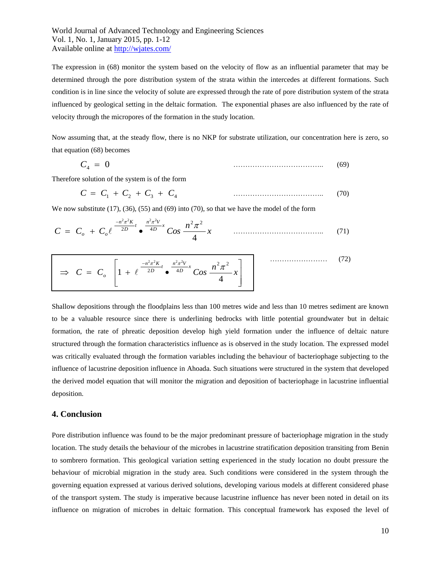The expression in (68) monitor the system based on the velocity of flow as an influential parameter that may be determined through the pore distribution system of the strata within the intercedes at different formations. Such condition is in line since the velocity of solute are expressed through the rate of pore distribution system of the strata influenced by geological setting in the deltaic formation. The exponential phases are also influenced by the rate of velocity through the micropores of the formation in the study location.

Now assuming that, at the steady flow, there is no NKP for substrate utilization, our concentration here is zero, so that equation (68) becomes

$$
C_4 = 0 \tag{69}
$$

Therefore solution of the system is of the form

$$
C = C_1 + C_2 + C_3 + C_4 \tag{70}
$$

We now substitute  $(17)$ ,  $(36)$ ,  $(55)$  and  $(69)$  into  $(70)$ , so that we have the model of the form

$$
C = C_o + C_o \ell^{-\frac{-n^2 \pi^2 K}{2D}} \bullet^{\frac{n^2 \pi^2 V}{4D} x} Cos \frac{n^2 \pi^2}{4} x \qquad \qquad (71)
$$

$$
\Rightarrow C = C_o \left[ 1 + \ell^{\frac{-n^2 \pi^2 K}{2D}} \cdot \frac{n^2 \pi^2 V}{4D} \cos \frac{n^2 \pi^2}{4} x \right] \qquad \qquad (72)
$$

Shallow depositions through the floodplains less than 100 metres wide and less than 10 metres sediment are known to be a valuable resource since there is underlining bedrocks with little potential groundwater but in deltaic formation, the rate of phreatic deposition develop high yield formation under the influence of deltaic nature structured through the formation characteristics influence as is observed in the study location. The expressed model was critically evaluated through the formation variables including the behaviour of bacteriophage subjecting to the influence of lacustrine deposition influence in Ahoada. Such situations were structured in the system that developed the derived model equation that will monitor the migration and deposition of bacteriophage in lacustrine influential deposition.

### **4. Conclusion**

Pore distribution influence was found to be the major predominant pressure of bacteriophage migration in the study location. The study details the behaviour of the microbes in lacustrine stratification deposition transiting from Benin to sombrero formation. This geological variation setting experienced in the study location no doubt pressure the behaviour of microbial migration in the study area. Such conditions were considered in the system through the governing equation expressed at various derived solutions, developing various models at different considered phase of the transport system. The study is imperative because lacustrine influence has never been noted in detail on its influence on migration of microbes in deltaic formation. This conceptual framework has exposed the level of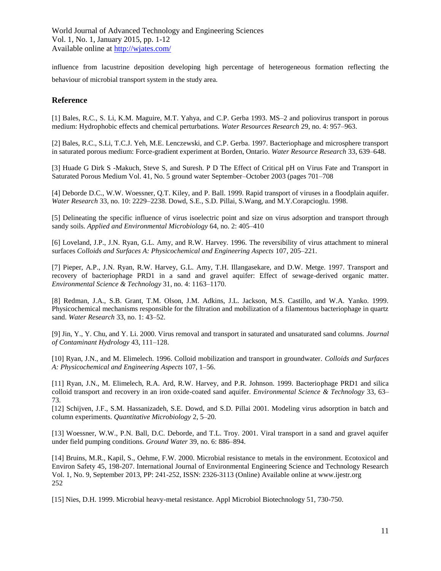influence from lacustrine deposition developing high percentage of heterogeneous formation reflecting the behaviour of microbial transport system in the study area.

## **Reference**

[1] Bales, R.C., S. Li, K.M. Maguire, M.T. Yahya, and C.P. Gerba 1993. MS–2 and poliovirus transport in porous medium: Hydrophobic effects and chemical perturbations. *Water Resources Research* 29, no. 4: 957–963.

[2] Bales, R.C., S.Li, T.C.J. Yeh, M.E. Lenczewski, and C.P. Gerba. 1997. Bacteriophage and microsphere transport in saturated porous medium: Force-gradient experiment at Borden, Ontario. *Water Resource Research* 33, 639–648.

[3] Huade G Dirk S -Makuch, Steve S, and Suresh. P D The Effect of Critical pH on Virus Fate and Transport in Saturated Porous Medium Vol. 41, No. 5 ground water September–October 2003 (pages 701–708

[4] Deborde D.C., W.W. Woessner, Q.T. Kiley, and P. Ball. 1999. Rapid transport of viruses in a floodplain aquifer. *Water Research* 33, no. 10: 2229–2238. Dowd, S.E., S.D. Pillai, S.Wang, and M.Y.Corapcioglu. 1998.

[5] Delineating the specific influence of virus isoelectric point and size on virus adsorption and transport through sandy soils. *Applied and Environmental Microbiology* 64, no. 2: 405–410

[6] Loveland, J.P., J.N. Ryan, G.L. Amy, and R.W. Harvey. 1996. The reversibility of virus attachment to mineral surfaces *Colloids and Surfaces A: Physicochemical and Engineering Aspects* 107, 205–221.

[7] Pieper, A.P., J.N. Ryan, R.W. Harvey, G.L. Amy, T.H. Illangasekare, and D.W. Metge. 1997. Transport and recovery of bacteriophage PRD1 in a sand and gravel aquifer: Effect of sewage-derived organic matter. *Environmental Science & Technology* 31, no. 4: 1163–1170.

[8] Redman, J.A., S.B. Grant, T.M. Olson, J.M. Adkins, J.L. Jackson, M.S. Castillo, and W.A. Yanko. 1999. Physicochemical mechanisms responsible for the filtration and mobilization of a filamentous bacteriophage in quartz sand. *Water Research* 33, no. 1: 43–52.

[9] Jin, Y., Y. Chu, and Y. Li. 2000. Virus removal and transport in saturated and unsaturated sand columns. *Journal of Contaminant Hydrology* 43, 111–128.

[10] Ryan, J.N., and M. Elimelech. 1996. Colloid mobilization and transport in groundwater. *Colloids and Surfaces A: Physicochemical and Engineering Aspects* 107, 1–56.

[11] Ryan, J.N., M. Elimelech, R.A. Ard, R.W. Harvey, and P.R. Johnson. 1999. Bacteriophage PRD1 and silica colloid transport and recovery in an iron oxide-coated sand aquifer. *Environmental Science & Technology* 33, 63– 73.

[12] Schijven, J.F., S.M. Hassanizadeh, S.E. Dowd, and S.D. Pillai 2001. Modeling virus adsorption in batch and column experiments. *Quantitative Microbiology* 2, 5–20.

[13] Woessner, W.W., P.N. Ball, D.C. Deborde, and T.L. Troy. 2001. Viral transport in a sand and gravel aquifer under field pumping conditions. *Ground Water* 39, no. 6: 886–894.

[14] Bruins, M.R., Kapil, S., Oehme, F.W. 2000. Microbial resistance to metals in the environment. Ecotoxicol and Environ Safety 45, 198-207. International Journal of Environmental Engineering Science and Technology Research Vol. 1, No. 9, September 2013, PP: 241-252, ISSN: 2326-3113 (Online) Available online at www.ijestr.org 252

[15] Nies, D.H. 1999. Microbial heavy-metal resistance. Appl Microbiol Biotechnology 51, 730-750.